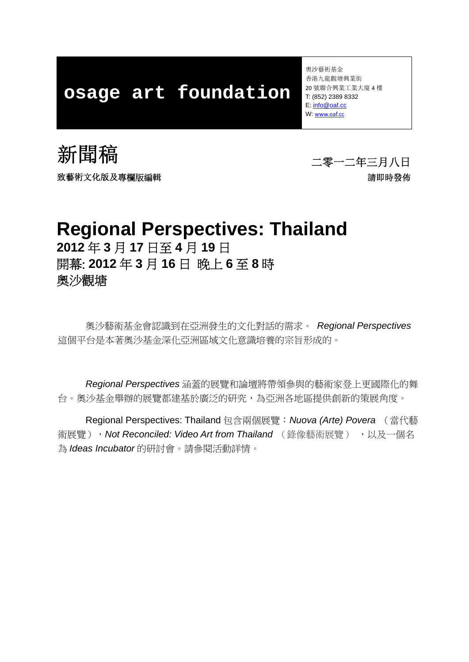# **osage art foundation**

奧沙藝術基金 香港九龍觀塘興業街 20 號聯合興業工業大廈 4 樓 T: (852) 2389 8332 E: info@oaf.cc W: www.oaf.cc





### **Regional Perspectives: Thailand 2012** 年 **3** 月 **17** 日至 **4** 月 **19** 日 開幕: **2012** 年 **3** 月 **16** 日 晚上 **6** 至 **8** 時 奧沙觀塘

奧沙藝術基金會認識到在亞洲發生的文化對話的需求。 *Regional Perspectives* 這個平台是本著奧沙基金深化亞洲區域文化意識培養的宗旨形成的。

*Regional Perspectives* 涵蓋的展覽和論壇將帶領參與的藝術家登上更國際化的舞 台。奧沙基金舉辦的展覽都建基於廣泛的研究,為亞洲各地區提供創新的策展角度。

Regional Perspectives: Thailand 包含兩個展覽:*Nuova (Arte) Povera* (當代藝 術展覽), Not Reconciled: Video Art from Thailand (錄像藝術展覽), 以及一個名 為 *Ideas Incubator* 的研討會。請參閱活動詳情。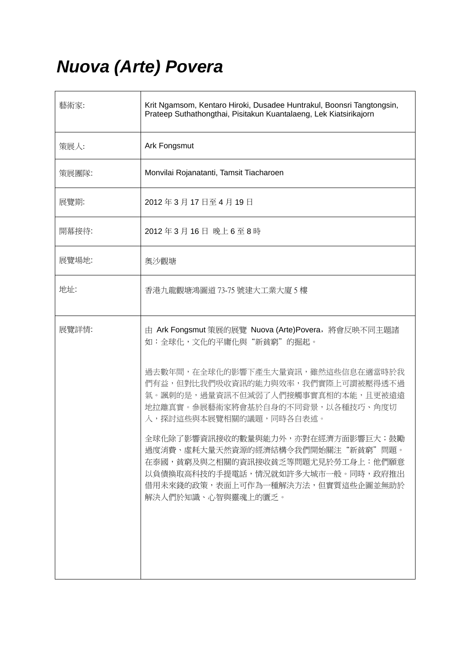# *Nuova (Arte) Povera*

| 藝術家:  | Krit Ngamsom, Kentaro Hiroki, Dusadee Huntrakul, Boonsri Tangtongsin,<br>Prateep Suthathongthai, Pisitakun Kuantalaeng, Lek Kiatsirikajorn                                                                                                                                                                                                                                                                                                                                |
|-------|---------------------------------------------------------------------------------------------------------------------------------------------------------------------------------------------------------------------------------------------------------------------------------------------------------------------------------------------------------------------------------------------------------------------------------------------------------------------------|
| 策展人:  | Ark Fongsmut                                                                                                                                                                                                                                                                                                                                                                                                                                                              |
| 策展團隊: | Monvilai Rojanatanti, Tamsit Tiacharoen                                                                                                                                                                                                                                                                                                                                                                                                                                   |
| 展覽期:  | 2012年3月17日至4月19日                                                                                                                                                                                                                                                                                                                                                                                                                                                          |
| 開幕接待: | 2012年3月16日 晚上6至8時                                                                                                                                                                                                                                                                                                                                                                                                                                                         |
| 展覽場地: | 奧沙觀塘                                                                                                                                                                                                                                                                                                                                                                                                                                                                      |
| 地址:   | 香港九龍觀塘鴻圖道 73-75 號建大工業大廈 5 樓                                                                                                                                                                                                                                                                                                                                                                                                                                               |
| 展覽詳情: | 由 Ark Fongsmut 策展的展覽 Nuova (Arte)Povera, 將會反映不同主題諸<br>如:全球化,文化的平庸化與"新貧窮"的掘起。<br>過去數年間,在全球化的影響下產生大量資訊,雖然這些信息在適當時於我<br>們有益,但對比我們吸收資訊的能力與效率,我們實際上可謂被壓得透不過<br>氣。諷刺的是,過量資訊不但減弱了人們接觸事實真相的本能,且更被遠遠<br>地拉離真實。參展藝術家將會基於自身的不同背景,以各種技巧、角度切<br>入,探討這些與本展覽相關的議題,同時各自表述。<br>全球化除了影響資訊接收的數量與能力外,亦對在經濟方面影響巨大;鼓勵<br>過度消費、虛耗大量天然資源的經濟結構令我們開始關注"新貧窮"問題。<br>在泰國,貧窮及與之相關的資訊接收貧乏等問題尤見於勞工身上:他們願意<br>以負債換取高科技的手提電話,情況就如許多大城市一般。同時,政府推出<br>借用未來錢的政策,表面上可作為一種解決方法,但實質這些企圖並無助於<br>解決人們於知識、心智與靈魂上的匱乏。 |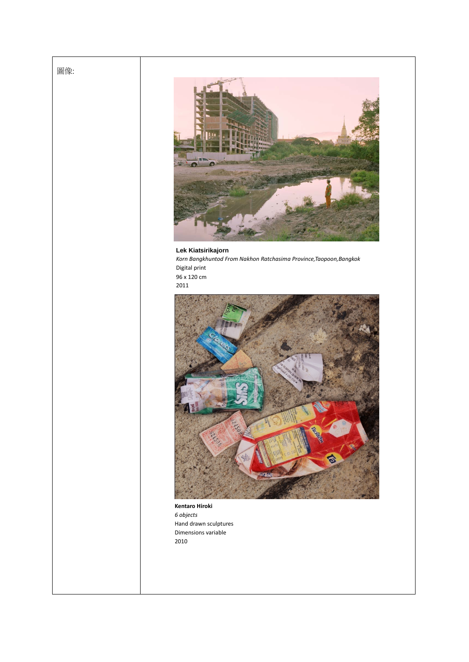### 圖像:



#### **Lek Kiatsirikajorn** *Korn Bangkhuntod From Nakhon Ratchasima Province,Taopoon,Bangkok* Digital print 96 x 120 cm 2011



**Kentaro Hiroki** *6 objects* Hand drawn sculptures Dimensions variable 2010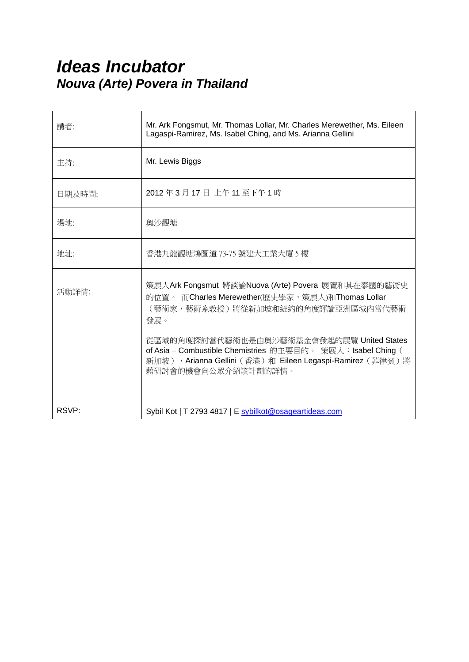## *Ideas Incubator Nouva (Arte) Povera in Thailand*

| 講者:    | Mr. Ark Fongsmut, Mr. Thomas Lollar, Mr. Charles Merewether, Ms. Eileen<br>Lagaspi-Ramirez, Ms. Isabel Ching, and Ms. Arianna Gellini                                                         |
|--------|-----------------------------------------------------------------------------------------------------------------------------------------------------------------------------------------------|
| 主持:    | Mr. Lewis Biggs                                                                                                                                                                               |
| 日期及時間: | 2012年3月17日 上午11至下午1時                                                                                                                                                                          |
| 場地:    | 奧沙觀塘                                                                                                                                                                                          |
| 地址:    | 香港九龍觀塘鴻圖道 73-75 號建大工業大廈 5 樓                                                                                                                                                                   |
| 活動詳情:  | 策展人Ark Fongsmut 將談論Nuova (Arte) Povera 展覽和其在泰國的藝術史<br>的位置。 而Charles Merewether(歷史學家, 策展人)和Thomas Lollar<br>(藝術家,藝術系教授)將從新加坡和紐約的角度評論亞洲區域內當代藝術<br>發展。                                           |
|        | 從區域的角度探討當代藝術也是由奧沙藝術基金會發起的展覽 United States<br>of Asia - Combustible Chemistries 的主要目的。 策展人: Isabel Ching (<br>新加坡), Arianna Gellini (香港)和 Eileen Legaspi-Ramirez (菲律賓)將<br>藉研討會的機會向公眾介紹該計劃的詳情。 |
| RSVP:  | Sybil Kot   T 2793 4817   E sybilkot@osageartideas.com                                                                                                                                        |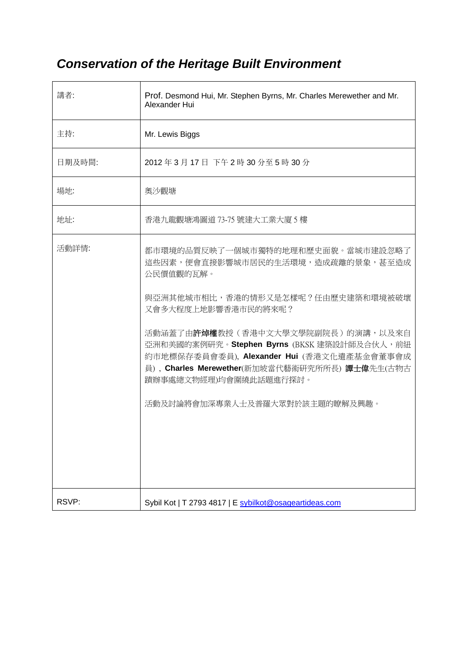## *Conservation of the Heritage Built Environment*

| 講者:    | Prof. Desmond Hui, Mr. Stephen Byrns, Mr. Charles Merewether and Mr.<br>Alexander Hui                                                                                                                                                                                                                                                                                                                    |
|--------|----------------------------------------------------------------------------------------------------------------------------------------------------------------------------------------------------------------------------------------------------------------------------------------------------------------------------------------------------------------------------------------------------------|
| 主持:    | Mr. Lewis Biggs                                                                                                                                                                                                                                                                                                                                                                                          |
| 日期及時間: | 2012年3月17日下午2時30分至5時30分                                                                                                                                                                                                                                                                                                                                                                                  |
| 場地:    | 奧沙觀塘                                                                                                                                                                                                                                                                                                                                                                                                     |
| 地址:    | 香港九龍觀塘鴻圖道 73-75 號建大工業大廈 5 樓                                                                                                                                                                                                                                                                                                                                                                              |
| 活動詳情:  | 都市環境的品質反映了一個城市獨特的地理和歷史面貌。當城市建設忽略了<br>這些因素,便會直接影響城市居民的生活環境,造成疏離的景象,甚至造成<br>公民價值觀的瓦解。<br>與亞洲其他城市相比,香港的情形又是怎樣呢?任由歷史建築和環境被破壞<br>又會多大程度上地影響香港市民的將來呢?<br>活動涵蓋了由 <b>許焯權</b> 教授(香港中文大學文學院副院長)的演講,以及來自<br>亞洲和美國的案例研究。Stephen Byrns (BKSK 建築設計師及合伙人,前紐<br>約市地標保存委員會委員), Alexander Hui (香港文化遺產基金會董事會成<br>員), Charles Merewether(新加坡當代藝術研究所所長) 譚士偉先生(古物古<br>蹟辦事處總文物經理)均會圍繞此話題進行探討。<br>活動及討論將會加深專業人士及普羅大眾對於該主題的瞭解及興趣。 |
| RSVP:  | Sybil Kot   T 2793 4817   E sybilkot@osageartideas.com                                                                                                                                                                                                                                                                                                                                                   |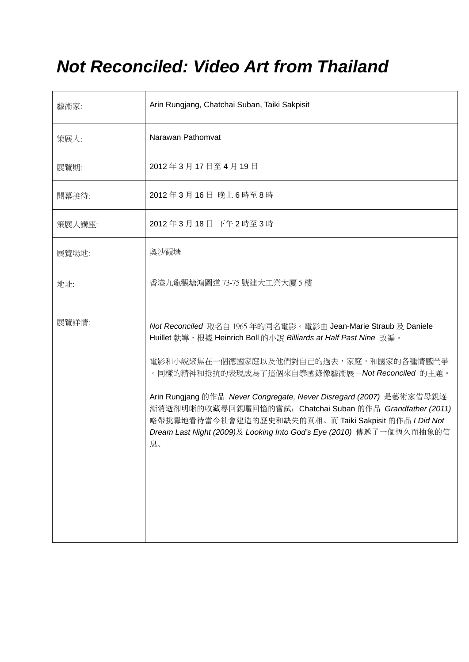# *Not Reconciled: Video Art from Thailand*

| 藝術家:   | Arin Rungjang, Chatchai Suban, Taiki Sakpisit                                                                                                                                                                                                                                                                                                                                                                                                                                                             |
|--------|-----------------------------------------------------------------------------------------------------------------------------------------------------------------------------------------------------------------------------------------------------------------------------------------------------------------------------------------------------------------------------------------------------------------------------------------------------------------------------------------------------------|
| 策展人:   | Narawan Pathomvat                                                                                                                                                                                                                                                                                                                                                                                                                                                                                         |
| 展覽期:   | 2012年3月17日至4月19日                                                                                                                                                                                                                                                                                                                                                                                                                                                                                          |
| 開幕接待:  | 2012年3月16日 晚上6時至8時                                                                                                                                                                                                                                                                                                                                                                                                                                                                                        |
| 策展人講座: | 2012年3月18日下午2時至3時                                                                                                                                                                                                                                                                                                                                                                                                                                                                                         |
| 展覽場地:  | 奧沙觀塘                                                                                                                                                                                                                                                                                                                                                                                                                                                                                                      |
| 地址:    | 香港九龍觀塘鴻圖道 73-75號建大工業大廈 5 樓                                                                                                                                                                                                                                                                                                                                                                                                                                                                                |
| 展覽詳情:  | Not Reconciled 取名自 1965 年的同名電影。電影由 Jean-Marie Straub 及 Daniele<br>Huillet 執導, 根據 Heinrich Boll 的小說 Billiards at Half Past Nine 改編。<br>電影和小說聚焦在一個德國家庭以及他們對自己的過去,家庭,和國家的各種情感鬥爭<br>。同樣的精神和抵抗的表現成為了這個來自泰國錄像藝術展 –Not Reconciled 的主題。<br>Arin Rungjang 的作品 Never Congregate, Never Disregard (2007) 是藝術家借母親逐<br>漸消逝卻明晰的收藏尋回親暱回憶的嘗試; Chatchai Suban 的作品 Grandfather (2011)<br>略帶挑釁地看待當今社會建造的歷史和缺失的真相。而 Taiki Sakpisit 的作品 I Did Not<br>Dream Last Night (2009)及 Looking Into God's Eye (2010) 傳遞了一個恆久而抽象的信<br>息。 |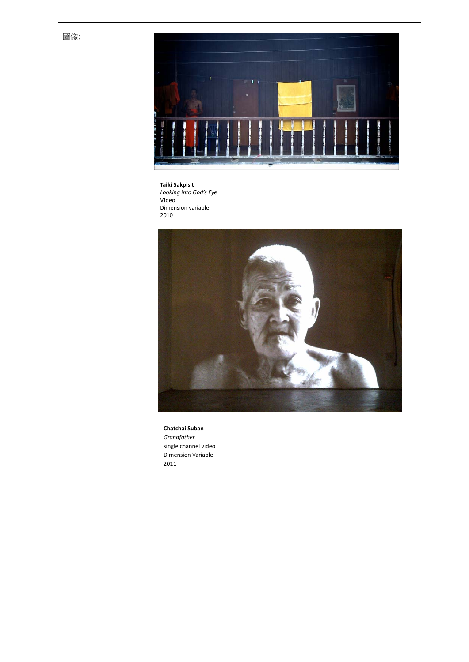



**Taiki Sakpisit** *Looking into God's Eye* Video Dimension variable 2010



**Chatchai Suban** *Grandfather* single channel video Dimension Variable 2011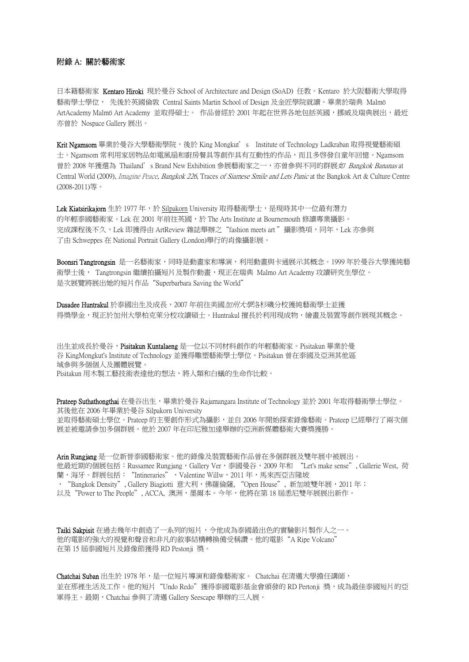### 附錄 A: 關於藝術家

日本籍藝術家 Kentaro Hiroki 現於曼谷 School of Architecture and Design (SoAD) 任教。Kentaro 於大阪藝術大學取得 藝術學士學位, 先後於英國倫敦 Central Saints Martin School of Design 及金匠學院就讀。畢業於瑞典 Malmö ArtAcademy Malmö Art Academy 並取得碩士。 作品曾經於 2001 年起在世界各地包括英國,挪威及瑞典展出,最近 亦曾於 Nospace Gallery 展出。

Krit Ngamsom 畢業於曼谷大學藝術學院,後於 King Mongkut's Institute of Technology Ladkraban 取得視覺藝術碩 士。Ngamsom 常利用家居物品如電風扇和廚房餐具等創作具有互動性的作品,而且多啓發自童年回憶。Ngamsom 曾於 2008 年獲選為 Thailand's Brand New Exhibition 參展藝術家之一,亦曾參與不同的群展*如 Bangkok Bananas* at Central World (2009), Imagine Peace, Bangkok 226, Traces of Siamese Smile and Lets Panic at the Bangkok Art & Culture Centre (2008-2011)等。

Lek Kiatsirikajorn 生於 1977 年,於 Silpakorn University 取得藝術學士,是現時其中一位最有潛力 的年輕泰國藝術家。Lek 在 2001 年前往英國,於 The Arts Institute at Bournemouth 修讀專業攝影。 完成課程後不久, Lek 即獲得由 ArtReview 雜誌舉辦之"fashion meets art"攝影獎項,同年, Lek 亦參與 了由 Schweppes 在 National Portrait Gallery (London)舉行的肖像攝影展。

Boonsri Tangtrongsin 是一名藝術家,同時是動畫家和導演,利用動畫與卡通展示其概念。1999年於曼谷大學獲純藝 術學士後, Tangtrongsin 繼續拍攝短片及製作動畫,現正在瑞典 Malmo Art Academy 攻讀研究生學位。 是次展覽將展出她的短片作品"Superbarbara Saving the World"

Dusadee Huntrakul 於泰國出生及成長,2007 年前往美國加州大學洛杉磯分校獲純藝術學士並獲 得獎學金,現正於加州大學柏克萊分校攻讀碩士。Huntrakul 擅長於利用現成物,繪畫及裝置等創作展現其概念。

出生並成長於曼谷, Pisitakun Kuntalaeng 是一位以不同材料創作的年輕藝術家。Pisitakun 畢業於曼 谷 KingMongkut's Institute of Technology 並獲得雕塑藝術學士學位。Pisitakun 曾在泰國及亞洲其他區 域參與多個個人及團體展覽。 Pisitakun 用木製工藝技術表達他的想法,將人類和白蟻的生命作比較。

Prateep Suthathongthai 在曼谷出生,畢業於曼谷 Rajamangara Institute of Technology 並於 2001 年取得藝術學士學位。 其後他在 2006 年畢業於曼谷 Silpakorn University 並取得藝術碩士學位。Prateep 的主要創作形式為攝影,並自 2006 年開始探索錄像藝術。Prateep 已經舉行了兩次個 展並被邀請參加多個群展。他於 2007 年在印尼雅加達舉辦的亞洲新媒體藝術大賽獎獲勝。

Arin Rungjang 是一位新晉泰國藝術家。他的錄像及裝置藝術作品曾在多個群展及雙年展中被展出。 他最近期的個展包括: Russamee Rungjang, Gallery Ver,泰國曼谷, 2009 年和 "Let's make sense", Gallerie West, 荷 蘭,海牙。群展包括: "Intineraries", Valentine Willw, 2011 年,馬來西亞吉隆坡 ,"Bangkok Density", Gallery Biagiotti 意大利,佛羅倫薩, "Open House", 新加坡雙年展,2011 年; 以及"Power to The People", ACCA, 澳洲, 墨爾本。今年, 他將在第 18 屆悉尼雙年展展出新作。

Taiki Sakpisit 在過去幾年中創造了一系列的短片,令他成為泰國最出色的實驗影片製作人之一。 他的電影的強大的視覺和聲音和非凡的敘事結構轉換備受稱讚。他的電影"A Ripe Volcano" 在第 15 屆泰國短片及錄像節獲得 RD Pestonji 獎。

Chatchai Suban 出生於 1978年,是一位短片導演和錄像藝術家。 Chatchai 在清邁大學擔任講師, 並在那裡生活及工作。他的短片"Undo Redo"獲得泰國電影基金會頒發的 RD Pertonji 獎,成為最佳泰國短片的亞 軍得主。最期,Chatchai 參與了清邁 Gallery Seescape 舉辦的三人展。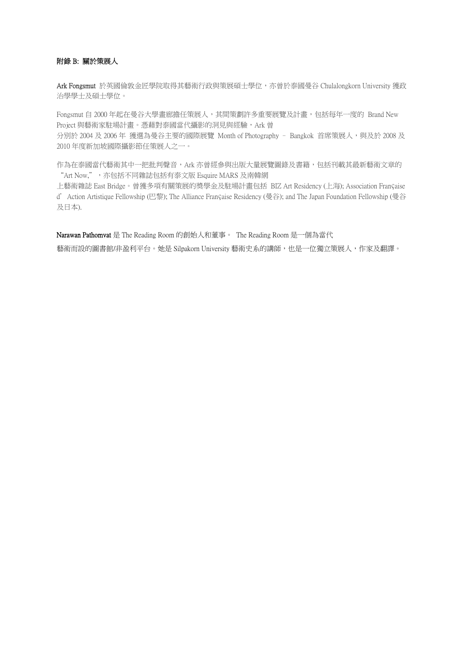### 附錄 B: 關於策展人

Ark Fongsmut 於英國倫敦金匠學院取得其藝術行政與策展碩士學位,亦曾於泰國曼谷 Chulalongkorn University 獲政 治學學士及碩士學位。

Fongsmut 自 2000 年起在曼谷大學畫廊擔任策展人, 其間策劃許多重要展覽及計畫, 包括每年一度的 Brand New Project 與藝術家駐場計畫。憑藉對泰國當代攝影的洞見與經驗, Ark 曾 分別於 2004 及 2006年 獲選為曼谷主要的國際展覽 Month of Photography - Bangkok 首席策展人,與及於 2008 及 2010 年度新加坡國際攝影節任策展人之一。

作為在泰國當代藝術其中一把批判聲音,Ark 亦曾經參與出版大量展覽圖錄及書籍,包括刊載其最新藝術文章的 "Art Now,",而包括不同雜誌包括有泰文版 Esquire MARS 及南韓網

上藝術雜誌 East Bridge。曾獲多項有關策展的奬學金及駐場計畫包括 BIZ Art Residency (上海); Association Française d'Action Artistique Fellowship (巴黎); The Alliance Française Residency (曼谷); and The Japan Foundation Fellowship (曼谷 及日本).

Narawan Pathomvat 是 The Reading Room 的創始人和董事。 The Reading Room 是一個為當代 藝術而設的圖書館/非盈利平台。她是 Silpakorn University 藝術史系的講師,也是一位獨立策展人,作家及翻譯。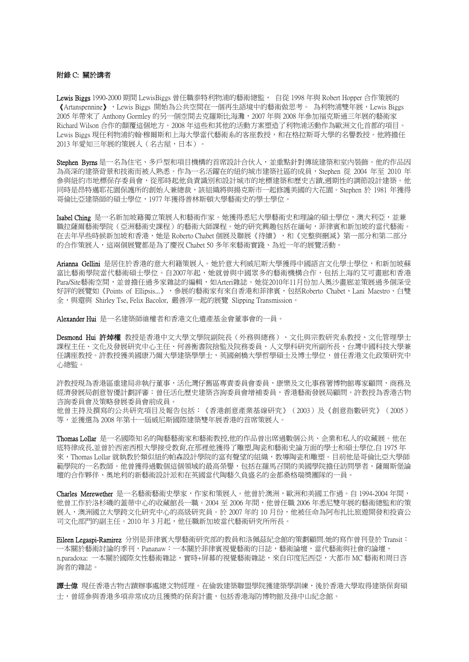### 附錄 C: 關於講者

Lewis Biggs 1990-2000 期間 LewisBiggs 曾任職泰特利物浦的藝術總監, 自從 1998 年與 Robert Hopper 合作策展的 《Artanspennine》,Lewis Biggs 開始為公共空間在一個再生語境中的藝術做思考。 為利物浦雙年展,Lewis Biggs 2005 年帶來了 Anthony Gormley 的另一個空間去克羅斯比海灘,2007 年與 2008 年參加福克斯通三年展的藝術家 Richard Wilson 合作的顛覆這個地方。2008 年這些和其他的活動方案塑造了利物浦活動作為歐洲文化首都的項目。 Lewis Biggs 現任利物浦約翰·穆爾斯和上海大學當代藝術系的客座教授,和在格拉斯哥大學的名譽教授。他將擔任 2013 年愛知三年展的策展人(名古屋,日本)。

Stephen Byrns 是一名為住宅、多戶型和項目機構的首席設計合伙人,並重點針對傳統建築和室內裝飾。他的作品因 為高深的建築背景和技術而被人熟悉。作為一名活躍在的紐約城市建築社區的成員,Stephen 從 2004 年至 2010 年 參與紐約市地標保存委員會,從那時起他負責識別和設計城市的地標建築和歷史古蹟,週期性的調節設計建築。他 同時是昂特邁耶花園保護所的創始人兼總裁,該組織將與揚克斯市一起修護美國的大花園。Stephen 於 1981 年獲得 哥倫比亞建築師的碩士學位,1977 年獲得普林斯頓大學藝術史的學士學位。

Isabel Ching 是一名新加坡籍獨立策展人和藝術作家。她獲得悉尼大學藝術史和理論的碩士學位,澳大利亞,並兼 職拉薩爾藝術學院(亞洲藝術史課程)的藝術大師課程。她的研究興趣包括在緬甸,菲律賓和新加坡的當代藝術。 在去年早些時候新加坡和香港,她是 Roberto Chabet 個展及聯展《待續》,和《完整與刪減》第一部分和第二部分 的合作策展人,這兩個展覽都是為了慶祝 Chabet 50 多年來藝術實踐、為近一年的展覽活動。

Arianna Gellini 是居住於香港的意大利籍策展人。她於意大利威尼斯大學獲得中國語言文化學士學位,和新加坡蘇 富比藝術學院當代藝術碩士學位。自2007年起,她就曾與中國眾多的藝術機構合作,包括上海的艾可書廊和香港 Para/Site藝術空間,並曾擔任過多家雜誌的編輯,如Arteri雜誌。她從2010年11月份加入奧沙畫廊並策展過多個深受 好評的展覽如《Points of Ellipsis...》,參展的藝術家有來自香港和菲律賓,包括Roberto Chabet、Lani Maestro、白雙 全,與還與 Shirley Tse, Felix Bacolor, 嚴善淳一起的展覽 Slipping Transmission。

Alexander Hui 是一名建築師維權者和香港文化遺產基金會董事會的一員。

Desmond Hui 許焯權 教授是香港中文大學文學院副院長(外務與總務)、文化與宗教研究系教授、文化管理學士 課程主任、文化及發展研究中心主任、何善衡書院捨監及院務委員、人文學科研究所副所長、台灣中國科技大學兼 任講座教授。許教授獲美國康乃爾大學建築學士,英國劍橋大學哲學碩士及博士學位,曾任香港文化政策研究中 心總監。

許教授現為香港區重建局非執行董事,活化灣仔舊區專責委員會委員,康樂及文化事務署博物館專家顧問,商務及 經濟發展局創意智優計劃評審:曾任活化歷史建築咨詢委員會增補委員,香港藝術發展局顧問。許教授為香港古物 咨詢委員會及策略發展委員會前成員。

他曾主持及撰寫的公共研究項目及報告包括:《香港創意產業基線研究》(2003)及《創意指數研究》(2005) 等,並獲選為 2008 年第十一屆威尼斯國際建築雙年展香港的首席策展人。

Thomas Lollar 是一名國際知名的陶藝藝術家和藝術教授,他的作品曾出席過數個公共、企業和私人的收藏展。他在 底特律成長,並曾於西密西根大學接受教育,在那裡他獲得了雕塑,陶瓷和藝術史論方面的學士和碩士學位.自 1975 年 來, Thomas Lollar 就執教於類似紐約帕森設計學院的富有聲望的組織, 教導陶瓷和雕塑。目前他是哥倫比亞大學師 範學院的一名教師。他曾獲得過數個這個領域的最高榮譽,包括在羅馬召開的美國學院擔任訪問學者、薩爾斯堡論 壇的合作夥伴、奧地利的新藝術設計派和在英國當代陶藝久負盛名的金都桑格瑞奬團隊的一員。

Charles Merewether 是一名藝術藝術史學家,作家和策展人。他曾於澳洲,歐洲和美國工作過。自 1994-2004 年間, 他曾工作於洛杉磯的蓋蒂中心的收藏館長一職。2004 至 2006 年間,他曾任職 2006 年悉尼雙年展的藝術總監和的策 展人,澳洲國立大學跨文化研究中心的高級研究員。於 2007 年的 10 月份,他被任命為阿布扎比旅遊開發和投資公 司文化部門的副主任。2010年3月起,他任職新加坡當代藝術研究所所長。

Eileen Legaspi-Ramirez 分別是菲律賓大學藝術研究部的教員和洛佩茲紀念館的策劃顧問.她的寫作曾刊登於 Transit: 一本關於藝術討論的季刊,Pananaw:一本關於菲律賓視覺藝術的日誌,藝術論壇,當代藝術與社會的論壇, n.paradoxa: 一本關於國際女性藝術雜誌,實時+屏幕的視覺藝術雜誌,來自印度尼西亞,大都市 MC 藝術和周日咨 詢者的雜誌。

讀士偉 現任香港古物古蹟辦事處總文物經理。在倫敦建築聯盟學院獲建築學訓練,後於香港大學取得建築保育碩 士,曾經參與香港多項非常成功且獲奬的保育計畫,包括香港海防博物館及孫中山紀念館。